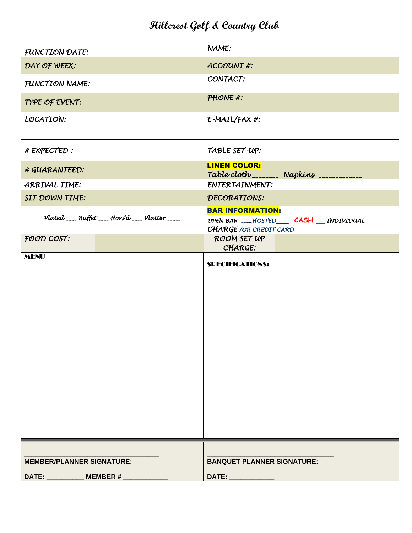### **Hillcrest Golf & Country Club**

| FUNCTION DATE:                                    | NAME:                                                                                           |
|---------------------------------------------------|-------------------------------------------------------------------------------------------------|
| DAY OF WEEK:                                      | <b>ACCOUNT#:</b>                                                                                |
| FUNCTION NAME:                                    | CONTACT:                                                                                        |
| TYPE OF EVENT:                                    | PHONE #:                                                                                        |
| LOCATION:                                         | E-MAIL/FAX #:                                                                                   |
|                                                   |                                                                                                 |
| # EXPECTED :                                      | TABLE SET-UP:                                                                                   |
| # GUARANTEED:                                     | <b>LINEN COLOR:</b><br>Table cloth ________ Napkins ____________                                |
| ARRIVAL TIME:                                     | ENTERTAINMENT:                                                                                  |
| SIT DOWN TIME:                                    | DECORATIONS:                                                                                    |
| Plated ____ Buffet ____ Hors'd ____ Platter _____ | <b>BAR INFORMATION:</b><br>OPEN BAR ___HOSTED____ CASH __ INDIVIDUAL<br>CHARGE / OR CREDIT CARD |
| FOOD COST:                                        | ROOM SET UP<br>CHARGE:                                                                          |
| <b>MENU</b>                                       | <b>SPECIFICATIONS:</b>                                                                          |
| <b>MEMBER/PLANNER SIGNATURE:</b>                  | <b>BANQUET PLANNER SIGNATURE:</b>                                                               |
| DATE:<br>MEMBER $#_$                              | DATE:                                                                                           |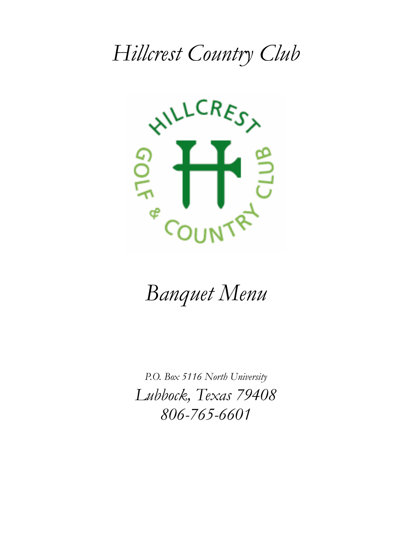# *Hillcrest Country Club*



# *Banquet Menu*

*P.O. Box 5116 North University Lubbock, Texas 79408 806-765-6601*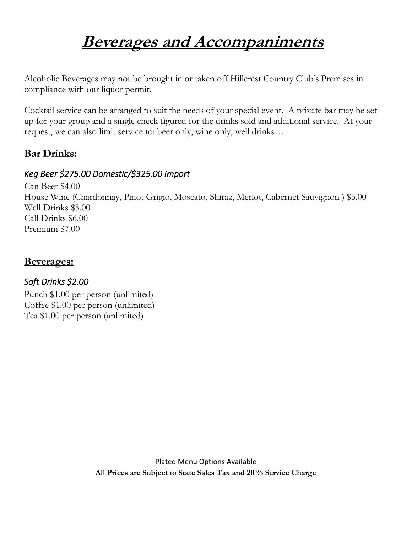## **Beverages and Accompaniments**

Alcoholic Beverages may not be brought in or taken off Hillcrest Country Club's Premises in compliance with our liquor permit.

Cocktail service can be arranged to suit the needs of your special event. A private bar may be set up for your group and a single check figured for the drinks sold and additional service. At your request, we can also limit service to: beer only, wine only, well drinks…

### **Bar Drinks:**

### *Keg Beer \$275.00 Domestic/\$325.00 Import*

Can Beer \$4.00 House Wine (Chardonnay, Pinot Grigio, Moscato, Shiraz, Merlot, Cabernet Sauvignon ) \$5.00 Well Drinks \$5.00 Call Drinks \$6.00 Premium \$7.00

### **Beverages:**

### *Soft Drinks \$2.00*

Punch \$1.00 per person (unlimited) Coffee \$1.00 per person (unlimited) Tea \$1.00 per person (unlimited)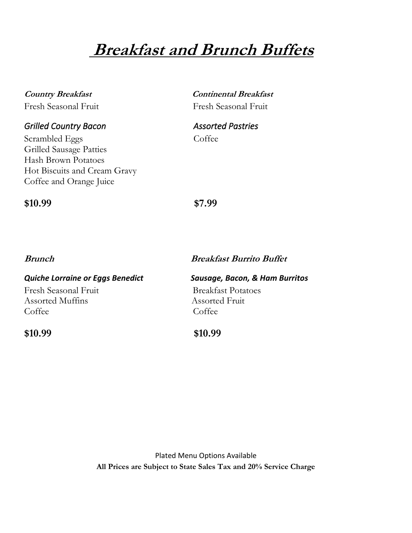## **Breakfast and Brunch Buffets**

| <b>Country Breakfast</b> |  |
|--------------------------|--|
| Fresh Seasonal Fruit     |  |

#### *Grilled Country Bacon Assorted Pastries*

Scrambled Eggs Coffee Grilled Sausage Patties Hash Brown Potatoes Hot Biscuits and Cream Gravy Coffee and Orange Juice

**Continental Breakfast** Fresh Seasonal Fruit

#### **\$10.99 \$7.99**

#### **Brunch Breakfast Burrito Buffet**

#### *Quiche Lorraine or Eggs Benedict Sausage, Bacon, & Ham Burritos* Fresh Seasonal Fruit Breakfast Potatoes Assorted Muffins Assorted Fruit Coffee Coffee Coffee Coffee Coffee Coffee Coffee Coffee Coffee Coffee Coffee Coffee Coffee Coffee Co

**\$10.99 \$10.99**

Plated Menu Options Available **All Prices are Subject to State Sales Tax and 20% Service Charge**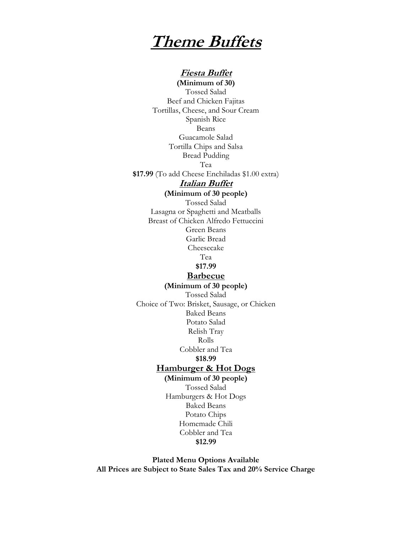### **Theme Buffets**

#### **Fiesta Buffet**

**(Minimum of 30)** Tossed Salad Beef and Chicken Fajitas Tortillas, Cheese, and Sour Cream Spanish Rice Beans Guacamole Salad Tortilla Chips and Salsa Bread Pudding Tea **\$17.99** (To add Cheese Enchiladas \$1.00 extra) **Italian Buffet**

**(Minimum of 30 people)**

Tossed Salad Lasagna or Spaghetti and Meatballs Breast of Chicken Alfredo Fettuccini Green Beans Garlic Bread Cheesecake

Tea

**\$17.99**

#### **Barbecue (Minimum of 30 people)**

Tossed Salad Choice of Two: Brisket, Sausage, or Chicken Baked Beans Potato Salad Relish Tray Rolls Cobbler and Tea **\$18.99 Hamburger & Hot Dogs**

#### **(Minimum of 30 people)**

Tossed Salad Hamburgers & Hot Dogs Baked Beans Potato Chips Homemade Chili Cobbler and Tea **\$12.99**

**Plated Menu Options Available All Prices are Subject to State Sales Tax and 20% Service Charge**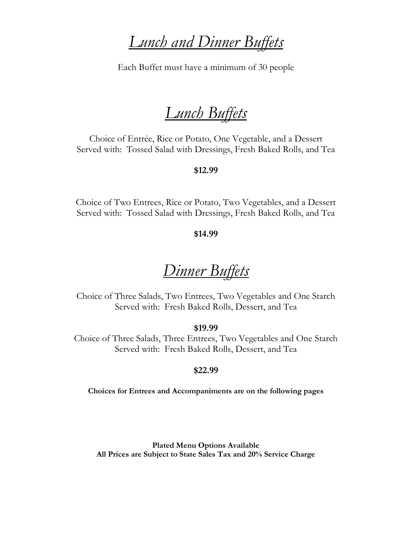### *Lunch and Dinner Buffets*

Each Buffet must have a minimum of 30 people

## *Lunch Buffets*

Choice of Entrée, Rice or Potato, One Vegetable, and a Dessert Served with: Tossed Salad with Dressings, Fresh Baked Rolls, and Tea

#### **\$12.99**

Choice of Two Entrees, Rice or Potato, Two Vegetables, and a Dessert Served with: Tossed Salad with Dressings, Fresh Baked Rolls, and Tea

#### **\$14.99**

### *Dinner Buffets*

Choice of Three Salads, Two Entrees, Two Vegetables and One Starch Served with: Fresh Baked Rolls, Dessert, and Tea

#### **\$19.99**

Choice of Three Salads, Three Entrees, Two Vegetables and One Starch Served with: Fresh Baked Rolls, Dessert, and Tea

#### **\$22.99**

**Choices for Entrees and Accompaniments are on the following pages**

**Plated Menu Options Available All Prices are Subject to State Sales Tax and 20% Service Charge**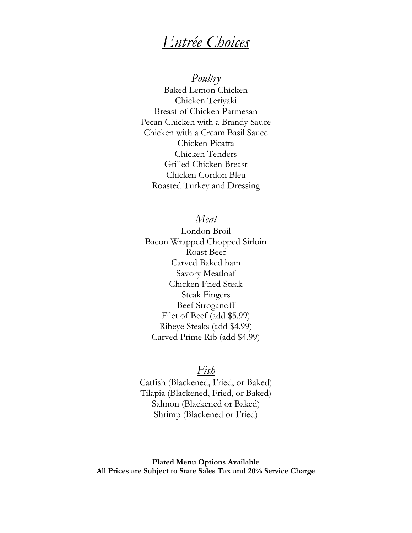### *Entrée Choices*

*Poultry*

Baked Lemon Chicken Chicken Teriyaki Breast of Chicken Parmesan Pecan Chicken with a Brandy Sauce Chicken with a Cream Basil Sauce Chicken Picatta Chicken Tenders Grilled Chicken Breast Chicken Cordon Bleu Roasted Turkey and Dressing

#### *Meat*

London Broil Bacon Wrapped Chopped Sirloin Roast Beef Carved Baked ham Savory Meatloaf Chicken Fried Steak Steak Fingers Beef Stroganoff Filet of Beef (add \$5.99) Ribeye Steaks (add \$4.99) Carved Prime Rib (add \$4.99)

#### *Fish*

Catfish (Blackened, Fried, or Baked) Tilapia (Blackened, Fried, or Baked) Salmon (Blackened or Baked) Shrimp (Blackened or Fried)

**Plated Menu Options Available All Prices are Subject to State Sales Tax and 20% Service Charge**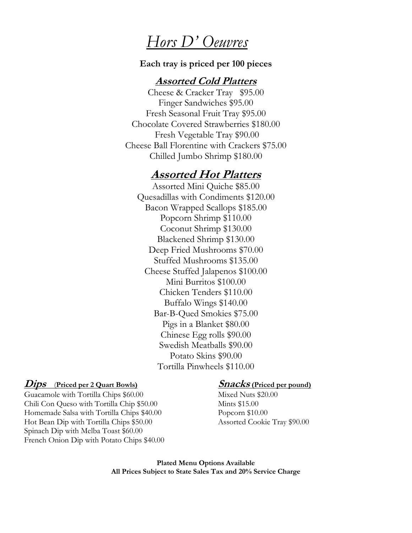### *Hors D' Oeuvres*

#### **Each tray is priced per 100 pieces**

#### **Assorted Cold Platters**

Cheese & Cracker Tray \$95.00 Finger Sandwiches \$95.00 Fresh Seasonal Fruit Tray \$95.00 Chocolate Covered Strawberries \$180.00 Fresh Vegetable Tray \$90.00 Cheese Ball Florentine with Crackers \$75.00 Chilled Jumbo Shrimp \$180.00

### **Assorted Hot Platters**

Assorted Mini Quiche \$85.00 Quesadillas with Condiments \$120.00 Bacon Wrapped Scallops \$185.00 Popcorn Shrimp \$110.00 Coconut Shrimp \$130.00 Blackened Shrimp \$130.00 Deep Fried Mushrooms \$70.00 Stuffed Mushrooms \$135.00 Cheese Stuffed Jalapenos \$100.00 Mini Burritos \$100.00 Chicken Tenders \$110.00 Buffalo Wings \$140.00 Bar-B-Qued Smokies \$75.00 Pigs in a Blanket \$80.00 Chinese Egg rolls \$90.00 Swedish Meatballs \$90.00 Potato Skins \$90.00 Tortilla Pinwheels \$110.00

#### *Dips (Priced per 2 Quart Bowls)* **<b>Snacks (Priced per pound)**

Guacamole with Tortilla Chips \$60.00 Mixed Nuts \$20.00 Chili Con Queso with Tortilla Chip \$50.00 Mints \$15.00 Homemade Salsa with Tortilla Chips \$40.00 Popcorn \$10.00 Hot Bean Dip with Tortilla Chips \$50.00 Assorted Cookie Tray \$90.00 Spinach Dip with Melba Toast \$60.00 French Onion Dip with Potato Chips \$40.00

**Plated Menu Options Available All Prices Subject to State Sales Tax and 20% Service Charge**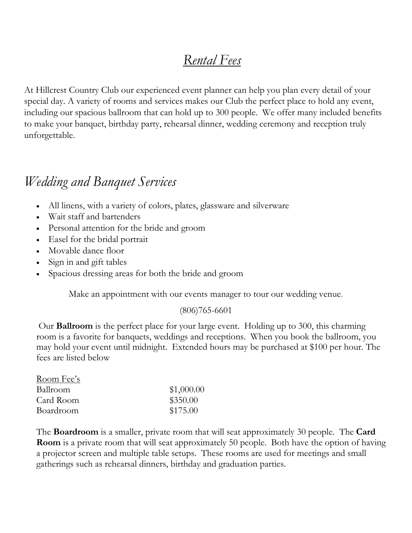### *Rental Fees*

At Hillcrest Country Club our experienced event planner can help you plan every detail of your special day. A variety of rooms and services makes our Club the perfect place to hold any event, including our spacious ballroom that can hold up to 300 people. We offer many included benefits to make your banquet, birthday party, rehearsal dinner, wedding ceremony and reception truly unforgettable.

### *Wedding and Banquet Services*

- All linens, with a variety of colors, plates, glassware and silverware
- Wait staff and bartenders
- Personal attention for the bride and groom
- Easel for the bridal portrait
- Movable dance floor
- Sign in and gift tables
- Spacious dressing areas for both the bride and groom

Make an appointment with our events manager to tour our wedding venue.

#### (806)765-6601

Our **Ballroom** is the perfect place for your large event. Holding up to 300, this charming room is a favorite for banquets, weddings and receptions. When you book the ballroom, you may hold your event until midnight. Extended hours may be purchased at \$100 per hour. The fees are listed below

| Room Fee's |            |
|------------|------------|
| Ballroom   | \$1,000.00 |
| Card Room  | \$350.00   |
| Boardroom  | \$175.00   |

The **Boardroom** is a smaller, private room that will seat approximately 30 people. The **Card Room** is a private room that will seat approximately 50 people. Both have the option of having a projector screen and multiple table setups. These rooms are used for meetings and small gatherings such as rehearsal dinners, birthday and graduation parties.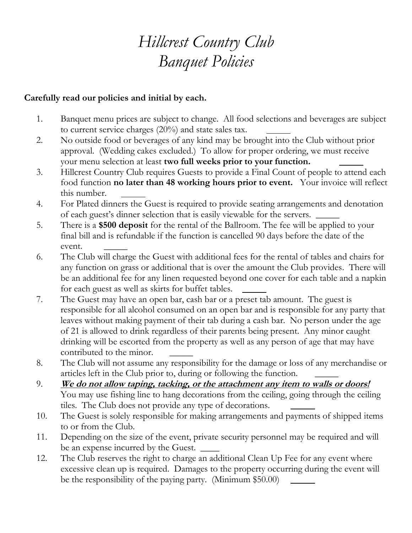## *Hillcrest Country Club Banquet Policies*

#### **Carefully read our policies and initial by each.**

- 1. Banquet menu prices are subject to change. All food selections and beverages are subject to current service charges (20%) and state sales tax.
- 2. No outside food or beverages of any kind may be brought into the Club without prior approval. (Wedding cakes excluded.) To allow for proper ordering, we must receive your menu selection at least **two full weeks prior to your function.**
- 3. Hillcrest Country Club requires Guests to provide a Final Count of people to attend each food function **no later than 48 working hours prior to event.** Your invoice will reflect this number.
- 4. For Plated dinners the Guest is required to provide seating arrangements and denotation of each guest's dinner selection that is easily viewable for the servers.
- 5. There is a **\$500 deposit** for the rental of the Ballroom. The fee will be applied to your final bill and is refundable if the function is cancelled 90 days before the date of the event.
- 6. The Club will charge the Guest with additional fees for the rental of tables and chairs for any function on grass or additional that is over the amount the Club provides. There will be an additional fee for any linen requested beyond one cover for each table and a napkin for each guest as well as skirts for buffet tables.
- 7. The Guest may have an open bar, cash bar or a preset tab amount. The guest is responsible for all alcohol consumed on an open bar and is responsible for any party that leaves without making payment of their tab during a cash bar. No person under the age of 21 is allowed to drink regardless of their parents being present. Any minor caught drinking will be escorted from the property as well as any person of age that may have contributed to the minor.
- 8. The Club will not assume any responsibility for the damage or loss of any merchandise or articles left in the Club prior to, during or following the function. \_\_\_\_\_
- 9. **We do not allow taping, tacking, or the attachment any item to walls or doors!**  You may use fishing line to hang decorations from the ceiling, going through the ceiling tiles. The Club does not provide any type of decorations.
- 10. The Guest is solely responsible for making arrangements and payments of shipped items to or from the Club.
- 11. Depending on the size of the event, private security personnel may be required and will be an expense incurred by the Guest.
- 12. The Club reserves the right to charge an additional Clean Up Fee for any event where excessive clean up is required. Damages to the property occurring during the event will be the responsibility of the paying party. (Minimum \$50.00)